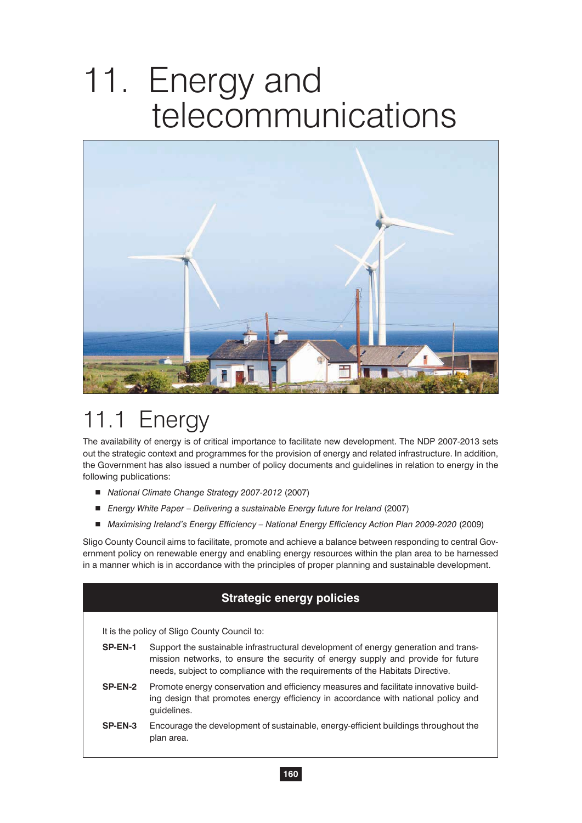# 11. Energy and telecommunications



## 11.1 Energy

The availability of energy is of critical importance to facilitate new development. The NDP 2007-2013 sets out the strategic context and programmes for the provision of energy and related infrastructure. In addition, the Government has also issued a number of policy documents and guidelines in relation to energy in the following publications:

- *National Climate Change Strategy 2007-2012 (2007)*
- *Energy White Paper Delivering a sustainable Energy future for Ireland (2007)*
- Maximising Ireland's Energy Efficiency National Energy Efficiency Action Plan 2009-2020 (2009)

Sligo County Council aims to facilitate, promote and achieve a balance between responding to central Government policy on renewable energy and enabling energy resources within the plan area to be harnessed in a manner which is in accordance with the principles of proper planning and sustainable development.

#### **Strategic energy policies**

It is the policy of Sligo County Council to:

- **SP-EN-1** Support the sustainable infrastructural development of energy generation and transmission networks, to ensure the security of energy supply and provide for future needs, subject to compliance with the requirements of the Habitats Directive.
- **SP-EN-2** Promote energy conservation and efficiency measures and facilitate innovative building design that promotes energy efficiency in accordance with national policy and guidelines.
- **SP-EN-3** Encourage the development of sustainable, energy-efficient buildings throughout the plan area.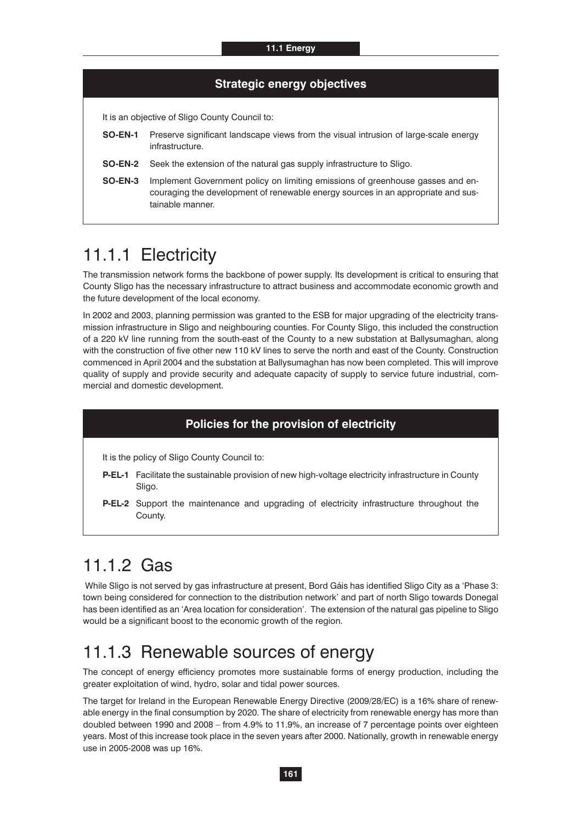#### **Strategic energy objectives**

It is an objective of Sligo County Council to:

- **SO-EN-1** Preserve significant landscape views from the visual intrusion of large-scale energy infrastructure.
- **SO-EN-2** Seek the extension of the natural gas supply infrastructure to Sligo.
- **SO-EN-3** Implement Government policy on limiting emissions of greenhouse gasses and encouraging the development of renewable energy sources in an appropriate and sustainable manner.

## 11.1.1 Electricity

The transmission network forms the backbone of power supply. Its development is critical to ensuring that County Sligo has the necessary infrastructure to attract business and accommodate economic growth and the future development of the local economy.

In 2002 and 2003, planning permission was granted to the ESB for major upgrading of the electricity transmission infrastructure in Sligo and neighbouring counties. For County Sligo, this included the construction of a 220 kV line running from the south-east of the County to a new substation at Ballysumaghan, along with the construction of five other new 110 kV lines to serve the north and east of the County. Construction commenced in April 2004 and the substation at Ballysumaghan has now been completed. This will improve quality of supply and provide security and adequate capacity of supply to service future industrial, commercial and domestic development.

#### **Policies for the provision of electricity**

It is the policy of Sligo County Council to:

- **P-EL-1** Facilitate the sustainable provision of new high-voltage electricity infrastructure in County Sligo.
- **P-EL-2** Support the maintenance and upgrading of electricity infrastructure throughout the County.

### 11.1.2 Gas

 While Sligo is not served by gas infrastructure at present, Bord Gáis has identified Sligo City as a 'Phase 3: town being considered for connection to the distribution network' and part of north Sligo towards Donegal has been identified as an 'Area location for consideration'. The extension of the natural gas pipeline to Sligo would be a significant boost to the economic growth of the region.

#### 11.1.3 Renewable sources of energy

The concept of energy efficiency promotes more sustainable forms of energy production, including the greater exploitation of wind, hydro, solar and tidal power sources.

The target for Ireland in the European Renewable Energy Directive (2009/28/EC) is a 16% share of renewable energy in the final consumption by 2020. The share of electricity from renewable energy has more than doubled between 1990 and 2008 – from 4.9% to 11.9%, an increase of 7 percentage points over eighteen years. Most of this increase took place in the seven years after 2000. Nationally, growth in renewable energy use in 2005-2008 was up 16%.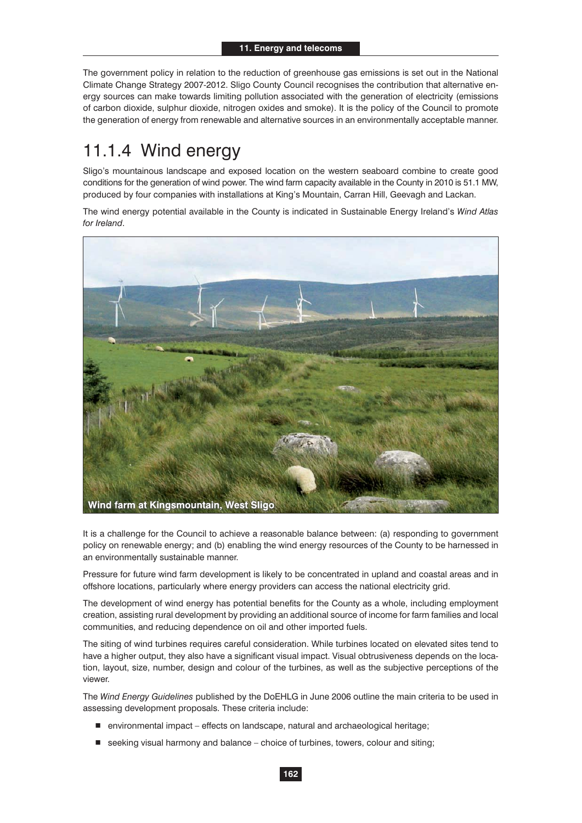The government policy in relation to the reduction of greenhouse gas emissions is set out in the National Climate Change Strategy 2007-2012. Sligo County Council recognises the contribution that alternative energy sources can make towards limiting pollution associated with the generation of electricity (emissions of carbon dioxide, sulphur dioxide, nitrogen oxides and smoke). It is the policy of the Council to promote the generation of energy from renewable and alternative sources in an environmentally acceptable manner.

## 11.1.4 Wind energy

Sligo's mountainous landscape and exposed location on the western seaboard combine to create good conditions for the generation of wind power. The wind farm capacity available in the County in 2010 is 51.1 MW, produced by four companies with installations at King's Mountain, Carran Hill, Geevagh and Lackan.

The wind energy potential available in the County is indicated in Sustainable Energy Ireland's *Wind Atlas for Ireland*.



It is a challenge for the Council to achieve a reasonable balance between: (a) responding to government policy on renewable energy; and (b) enabling the wind energy resources of the County to be harnessed in an environmentally sustainable manner.

Pressure for future wind farm development is likely to be concentrated in upland and coastal areas and in offshore locations, particularly where energy providers can access the national electricity grid.

The development of wind energy has potential benefits for the County as a whole, including employment creation, assisting rural development by providing an additional source of income for farm families and local communities, and reducing dependence on oil and other imported fuels.

The siting of wind turbines requires careful consideration. While turbines located on elevated sites tend to have a higher output, they also have a significant visual impact. Visual obtrusiveness depends on the location, layout, size, number, design and colour of the turbines, as well as the subjective perceptions of the viewer.

The *Wind Energy Guidelines* published by the DoEHLG in June 2006 outline the main criteria to be used in assessing development proposals. These criteria include:

- environmental impact effects on landscape, natural and archaeological heritage;
- seeking visual harmony and balance choice of turbines, towers, colour and siting;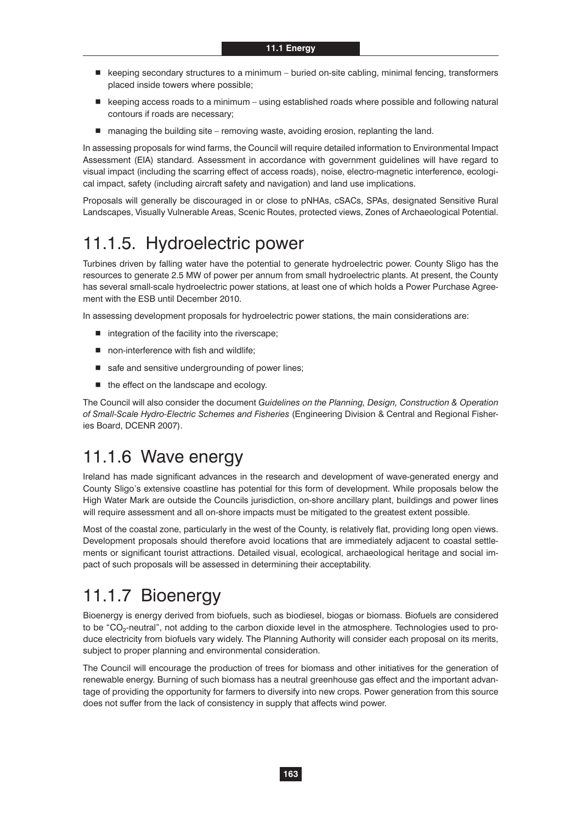- keeping secondary structures to a minimum buried on-site cabling, minimal fencing, transformers placed inside towers where possible;
- keeping access roads to a minimum using established roads where possible and following natural contours if roads are necessary;
- managing the building site removing waste, avoiding erosion, replanting the land.

In assessing proposals for wind farms, the Council will require detailed information to Environmental Impact Assessment (EIA) standard. Assessment in accordance with government guidelines will have regard to visual impact (including the scarring effect of access roads), noise, electro-magnetic interference, ecological impact, safety (including aircraft safety and navigation) and land use implications.

Proposals will generally be discouraged in or close to pNHAs, cSACs, SPAs, designated Sensitive Rural Landscapes, Visually Vulnerable Areas, Scenic Routes, protected views, Zones of Archaeological Potential.

### 11.1.5. Hydroelectric power

Turbines driven by falling water have the potential to generate hydroelectric power. County Sligo has the resources to generate 2.5 MW of power per annum from small hydroelectric plants. At present, the County has several small-scale hydroelectric power stations, at least one of which holds a Power Purchase Agreement with the ESB until December 2010.

In assessing development proposals for hydroelectric power stations, the main considerations are:

- $\blacksquare$  integration of the facility into the riverscape;
- non-interference with fish and wildlife;
- safe and sensitive undergrounding of power lines;
- $\blacksquare$  the effect on the landscape and ecology.

The Council will also consider the document *Guidelines on the Planning, Design, Construction & Operation of Small-Scale Hydro-Electric Schemes and Fisheries* (Engineering Division & Central and Regional Fisheries Board, DCENR 2007).

### 11.1.6 Wave energy

Ireland has made significant advances in the research and development of wave-generated energy and County Sligo's extensive coastline has potential for this form of development. While proposals below the High Water Mark are outside the Councils jurisdiction, on-shore ancillary plant, buildings and power lines will require assessment and all on-shore impacts must be mitigated to the greatest extent possible.

Most of the coastal zone, particularly in the west of the County, is relatively flat, providing long open views. Development proposals should therefore avoid locations that are immediately adjacent to coastal settlements or significant tourist attractions. Detailed visual, ecological, archaeological heritage and social impact of such proposals will be assessed in determining their acceptability.

## 11.1.7 Bioenergy

Bioenergy is energy derived from biofuels, such as biodiesel, biogas or biomass. Biofuels are considered to be "CO<sub>2</sub>-neutral", not adding to the carbon dioxide level in the atmosphere. Technologies used to produce electricity from biofuels vary widely. The Planning Authority will consider each proposal on its merits, subject to proper planning and environmental consideration.

The Council will encourage the production of trees for biomass and other initiatives for the generation of renewable energy. Burning of such biomass has a neutral greenhouse gas effect and the important advantage of providing the opportunity for farmers to diversify into new crops. Power generation from this source does not suffer from the lack of consistency in supply that affects wind power.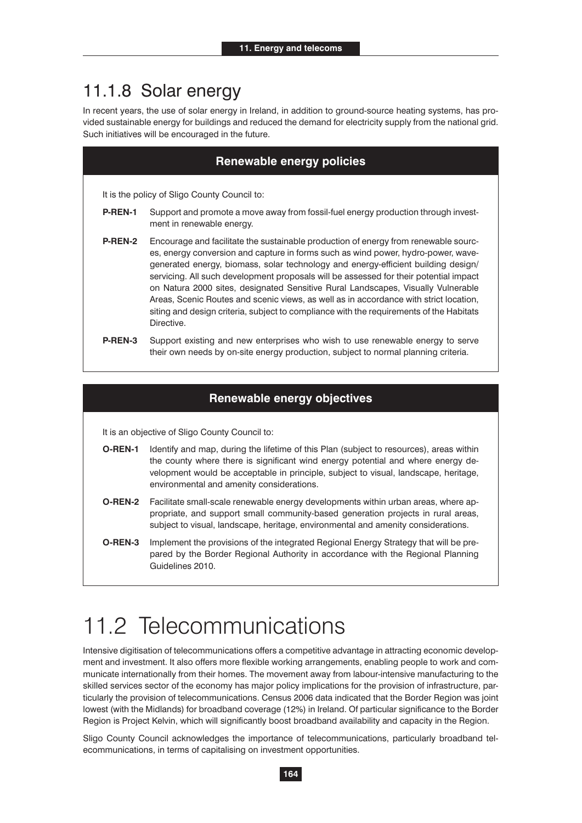#### 11.1.8 Solar energy

In recent years, the use of solar energy in Ireland, in addition to ground-source heating systems, has provided sustainable energy for buildings and reduced the demand for electricity supply from the national grid. Such initiatives will be encouraged in the future.

| <b>Renewable energy policies</b> |                |                                                                                                                                                                                                                                                                                                                                                                                                                                                                                                                                                                                                                                              |  |
|----------------------------------|----------------|----------------------------------------------------------------------------------------------------------------------------------------------------------------------------------------------------------------------------------------------------------------------------------------------------------------------------------------------------------------------------------------------------------------------------------------------------------------------------------------------------------------------------------------------------------------------------------------------------------------------------------------------|--|
|                                  |                |                                                                                                                                                                                                                                                                                                                                                                                                                                                                                                                                                                                                                                              |  |
|                                  |                | It is the policy of Sligo County Council to:                                                                                                                                                                                                                                                                                                                                                                                                                                                                                                                                                                                                 |  |
|                                  | P-REN-1        | Support and promote a move away from fossil-fuel energy production through invest-<br>ment in renewable energy.                                                                                                                                                                                                                                                                                                                                                                                                                                                                                                                              |  |
|                                  | <b>P-REN-2</b> | Encourage and facilitate the sustainable production of energy from renewable sourc-<br>es, energy conversion and capture in forms such as wind power, hydro-power, wave-<br>generated energy, biomass, solar technology and energy-efficient building design/<br>servicing. All such development proposals will be assessed for their potential impact<br>on Natura 2000 sites, designated Sensitive Rural Landscapes, Visually Vulnerable<br>Areas, Scenic Routes and scenic views, as well as in accordance with strict location,<br>siting and design criteria, subject to compliance with the requirements of the Habitats<br>Directive. |  |
|                                  | P-REN-3        | Support existing and new enterprises who wish to use renewable energy to serve<br>their own needs by on-site energy production, subject to normal planning criteria.                                                                                                                                                                                                                                                                                                                                                                                                                                                                         |  |

#### **Renewable energy objectives**

It is an objective of Sligo County Council to:

- **O-REN-1** Identify and map, during the lifetime of this Plan (subject to resources), areas within the county where there is significant wind energy potential and where energy development would be acceptable in principle, subject to visual, landscape, heritage, environmental and amenity considerations.
- **O-REN-2** Facilitate small-scale renewable energy developments within urban areas, where appropriate, and support small community-based generation projects in rural areas, subject to visual, landscape, heritage, environmental and amenity considerations.
- **O-REN-3** Implement the provisions of the integrated Regional Energy Strategy that will be prepared by the Border Regional Authority in accordance with the Regional Planning Guidelines 2010.

## 11.2 Telecommunications

Intensive digitisation of telecommunications offers a competitive advantage in attracting economic development and investment. It also offers more flexible working arrangements, enabling people to work and communicate internationally from their homes. The movement away from labour-intensive manufacturing to the skilled services sector of the economy has major policy implications for the provision of infrastructure, particularly the provision of telecommunications. Census 2006 data indicated that the Border Region was joint lowest (with the Midlands) for broadband coverage (12%) in Ireland. Of particular significance to the Border Region is Project Kelvin, which will significantly boost broadband availability and capacity in the Region.

Sligo County Council acknowledges the importance of telecommunications, particularly broadband telecommunications, in terms of capitalising on investment opportunities.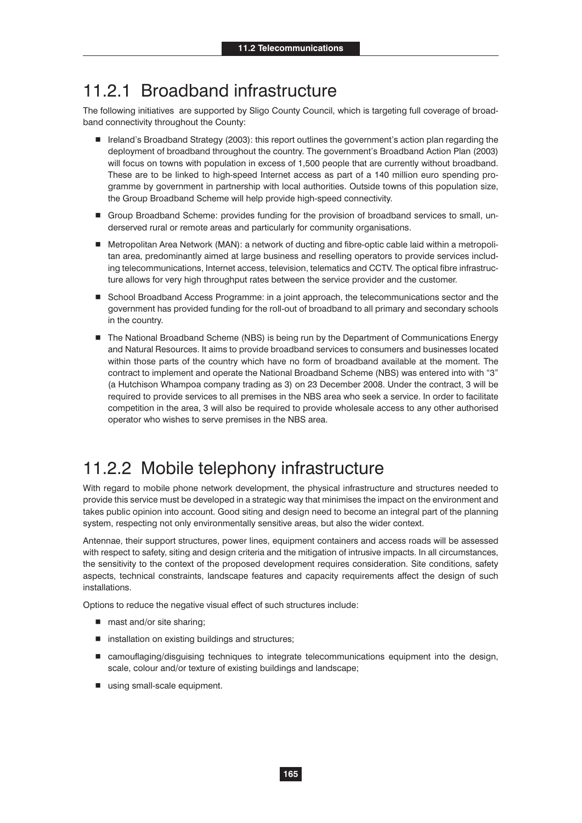### 11.2.1 Broadband infrastructure

The following initiatives are supported by Sligo County Council, which is targeting full coverage of broadband connectivity throughout the County:

- Ireland's Broadband Strategy (2003): this report outlines the government's action plan regarding the deployment of broadband throughout the country. The government's Broadband Action Plan (2003) will focus on towns with population in excess of 1,500 people that are currently without broadband. These are to be linked to high-speed Internet access as part of a 140 million euro spending programme by government in partnership with local authorities. Outside towns of this population size, the Group Broadband Scheme will help provide high-speed connectivity.
- Group Broadband Scheme: provides funding for the provision of broadband services to small, underserved rural or remote areas and particularly for community organisations.
- Metropolitan Area Network (MAN): a network of ducting and fibre-optic cable laid within a metropolitan area, predominantly aimed at large business and reselling operators to provide services including telecommunications, Internet access, television, telematics and CCTV. The optical fibre infrastructure allows for very high throughput rates between the service provider and the customer.
- School Broadband Access Programme: in a joint approach, the telecommunications sector and the government has provided funding for the roll-out of broadband to all primary and secondary schools in the country.
- The National Broadband Scheme (NBS) is being run by the Department of Communications Energy and Natural Resources. It aims to provide broadband services to consumers and businesses located within those parts of the country which have no form of broadband available at the moment. The contract to implement and operate the National Broadband Scheme (NBS) was entered into with "3" (a Hutchison Whampoa company trading as 3) on 23 December 2008. Under the contract, 3 will be required to provide services to all premises in the NBS area who seek a service. In order to facilitate competition in the area, 3 will also be required to provide wholesale access to any other authorised operator who wishes to serve premises in the NBS area.

## 11.2.2 Mobile telephony infrastructure

With regard to mobile phone network development, the physical infrastructure and structures needed to provide this service must be developed in a strategic way that minimises the impact on the environment and takes public opinion into account. Good siting and design need to become an integral part of the planning system, respecting not only environmentally sensitive areas, but also the wider context.

Antennae, their support structures, power lines, equipment containers and access roads will be assessed with respect to safety, siting and design criteria and the mitigation of intrusive impacts. In all circumstances, the sensitivity to the context of the proposed development requires consideration. Site conditions, safety aspects, technical constraints, landscape features and capacity requirements affect the design of such installations.

Options to reduce the negative visual effect of such structures include:

- mast and/or site sharing;
- $\blacksquare$  installation on existing buildings and structures;
- camouflaging/disguising techniques to integrate telecommunications equipment into the design, scale, colour and/or texture of existing buildings and landscape;
- using small-scale equipment.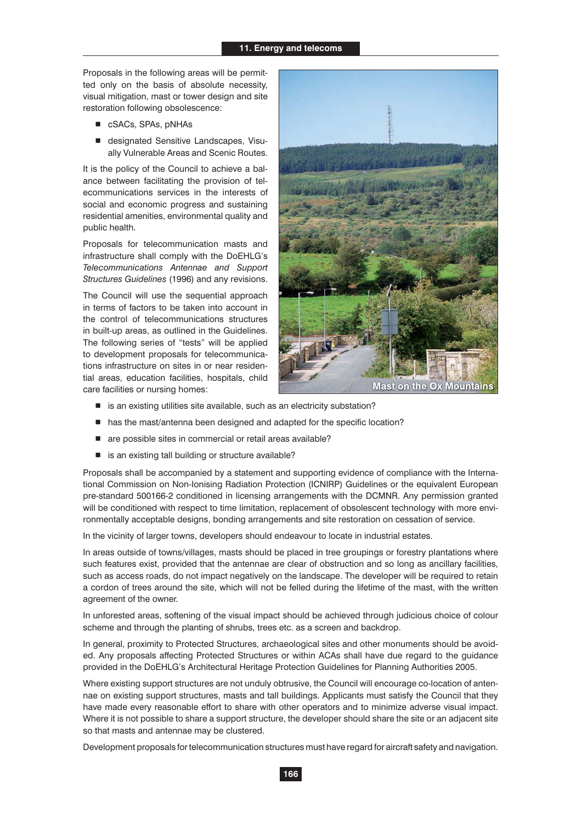Proposals in the following areas will be permitted only on the basis of absolute necessity, visual mitigation, mast or tower design and site restoration following obsolescence:

- cSACs, SPAs, pNHAs
- designated Sensitive Landscapes, Visually Vulnerable Areas and Scenic Routes.

It is the policy of the Council to achieve a balance between facilitating the provision of telecommunications services in the interests of social and economic progress and sustaining residential amenities, environmental quality and public health.

Proposals for telecommunication masts and infrastructure shall comply with the DoEHLG's *Telecommunications Antennae and Support Structures Guidelines* (1996) and any revisions.

The Council will use the sequential approach in terms of factors to be taken into account in the control of telecommunications structures in built-up areas, as outlined in the Guidelines. The following series of "tests" will be applied to development proposals for telecommunications infrastructure on sites in or near residential areas, education facilities, hospitals, child care facilities or nursing homes:



- is an existing utilities site available, such as an electricity substation?
- $\blacksquare$  has the mast/antenna been designed and adapted for the specific location?
- are possible sites in commercial or retail areas available?
- is an existing tall building or structure available?

Proposals shall be accompanied by a statement and supporting evidence of compliance with the International Commission on Non-Ionising Radiation Protection (ICNIRP) Guidelines or the equivalent European pre-standard 500166-2 conditioned in licensing arrangements with the DCMNR. Any permission granted will be conditioned with respect to time limitation, replacement of obsolescent technology with more environmentally acceptable designs, bonding arrangements and site restoration on cessation of service.

In the vicinity of larger towns, developers should endeavour to locate in industrial estates.

In areas outside of towns/villages, masts should be placed in tree groupings or forestry plantations where such features exist, provided that the antennae are clear of obstruction and so long as ancillary facilities, such as access roads, do not impact negatively on the landscape. The developer will be required to retain a cordon of trees around the site, which will not be felled during the lifetime of the mast, with the written agreement of the owner.

In unforested areas, softening of the visual impact should be achieved through judicious choice of colour scheme and through the planting of shrubs, trees etc. as a screen and backdrop.

In general, proximity to Protected Structures, archaeological sites and other monuments should be avoided. Any proposals affecting Protected Structures or within ACAs shall have due regard to the guidance provided in the DoEHLG's Architectural Heritage Protection Guidelines for Planning Authorities 2005.

Where existing support structures are not unduly obtrusive, the Council will encourage co-location of antennae on existing support structures, masts and tall buildings. Applicants must satisfy the Council that they have made every reasonable effort to share with other operators and to minimize adverse visual impact. Where it is not possible to share a support structure, the developer should share the site or an adjacent site so that masts and antennae may be clustered.

Development proposals for telecommunication structures must have regard for aircraft safety and navigation.